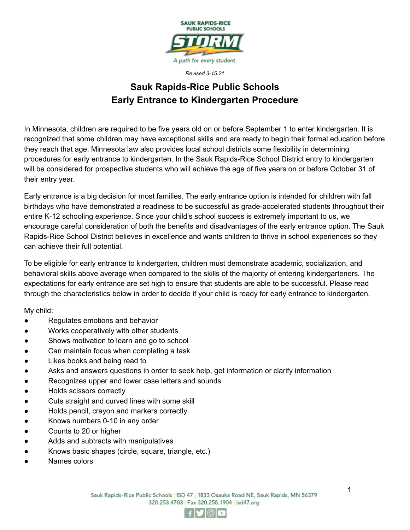

# **Sauk Rapids-Rice Public Schools Early Entrance to Kindergarten Procedure**

In Minnesota, children are required to be five years old on or before September 1 to enter kindergarten. It is recognized that some children may have exceptional skills and are ready to begin their formal education before they reach that age. Minnesota law also provides local school districts some flexibility in determining procedures for early entrance to kindergarten. In the Sauk Rapids-Rice School District entry to kindergarten will be considered for prospective students who will achieve the age of five years on or before October 31 of their entry year.

Early entrance is a big decision for most families. The early entrance option is intended for children with fall birthdays who have demonstrated a readiness to be successful as grade-accelerated students throughout their entire K-12 schooling experience. Since your child's school success is extremely important to us, we encourage careful consideration of both the benefits and disadvantages of the early entrance option. The Sauk Rapids-Rice School District believes in excellence and wants children to thrive in school experiences so they can achieve their full potential.

To be eligible for early entrance to kindergarten, children must demonstrate academic, socialization, and behavioral skills above average when compared to the skills of the majority of entering kindergarteners. The expectations for early entrance are set high to ensure that students are able to be successful. Please read through the characteristics below in order to decide if your child is ready for early entrance to kindergarten.

My child:

- Regulates emotions and behavior
- Works cooperatively with other students
- Shows motivation to learn and go to school
- Can maintain focus when completing a task
- Likes books and being read to
- Asks and answers questions in order to seek help, get information or clarify information
- Recognizes upper and lower case letters and sounds
- Holds scissors correctly
- Cuts straight and curved lines with some skill
- Holds pencil, crayon and markers correctly
- Knows numbers 0-10 in any order
- Counts to 20 or higher
- Adds and subtracts with manipulatives
- Knows basic shapes (circle, square, triangle, etc.)
- Names colors

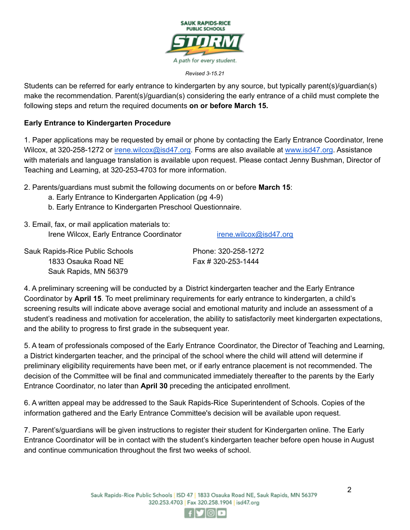

Students can be referred for early entrance to kindergarten by any source, but typically parent(s)/guardian(s) make the recommendation. Parent(s)/guardian(s) considering the early entrance of a child must complete the following steps and return the required documents **on or before March 15.**

#### **Early Entrance to Kindergarten Procedure**

1. Paper applications may be requested by email or phone by contacting the Early Entrance Coordinator, Irene Wilcox, at 320-258-1272 or [irene.wilcox@isd47.org.](mailto:irene.wilcox@isd47.org) Forms are also available at [www.isd47.org](http://www.isd47.org/). Assistance with materials and language translation is available upon request. Please contact Jenny Bushman, Director of Teaching and Learning, at 320-253-4703 for more information.

2. Parents/guardians must submit the following documents on or before **March 15**:

- a. Early Entrance to Kindergarten Application (pg 4-9)
- b. Early Entrance to Kindergarten Preschool Questionnaire.
- 3. Email, fax, or mail application materials to: Irene Wilcox, Early Entrance Coordinator [irene.wilcox@isd47.org](mailto:irene.wilcox@isd47.org)

| Sauk Rapids-Rice Public Schools | Phone: 320-258-1272 |
|---------------------------------|---------------------|
| 1833 Osauka Road NE             | Fax # 320-253-1444  |
| Sauk Rapids, MN 56379           |                     |

4. A preliminary screening will be conducted by a District kindergarten teacher and the Early Entrance Coordinator by **April 15**. To meet preliminary requirements for early entrance to kindergarten, a child's screening results will indicate above average social and emotional maturity and include an assessment of a student's readiness and motivation for acceleration, the ability to satisfactorily meet kindergarten expectations, and the ability to progress to first grade in the subsequent year.

5. A team of professionals composed of the Early Entrance Coordinator, the Director of Teaching and Learning, a District kindergarten teacher, and the principal of the school where the child will attend will determine if preliminary eligibility requirements have been met, or if early entrance placement is not recommended. The decision of the Committee will be final and communicated immediately thereafter to the parents by the Early Entrance Coordinator, no later than **April 30** preceding the anticipated enrollment.

6. A written appeal may be addressed to the Sauk Rapids-Rice Superintendent of Schools. Copies of the information gathered and the Early Entrance Committee's decision will be available upon request.

7. Parent's/guardians will be given instructions to register their student for Kindergarten online. The Early Entrance Coordinator will be in contact with the student's kindergarten teacher before open house in August and continue communication throughout the first two weeks of school.

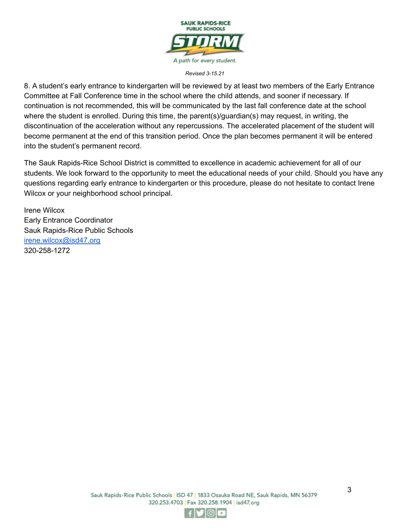

8. A student's early entrance to kindergarten will be reviewed by at least two members of the Early Entrance Committee at Fall Conference time in the school where the child attends, and sooner if necessary. If continuation is not recommended, this will be communicated by the last fall conference date at the school where the student is enrolled. During this time, the parent(s)/guardian(s) may request, in writing, the discontinuation of the acceleration without any repercussions. The accelerated placement of the student will become permanent at the end of this transition period. Once the plan becomes permanent it will be entered into the student's permanent record.

The Sauk Rapids-Rice School District is committed to excellence in academic achievement for all of our students. We look forward to the opportunity to meet the educational needs of your child. Should you have any questions regarding early entrance to kindergarten or this procedure, please do not hesitate to contact Irene Wilcox or your neighborhood school principal.

Irene Wilcox Early Entrance Coordinator Sauk Rapids-Rice Public Schools [irene.wilcox@isd47.org](mailto:irene.wilcox@isd47.org) 320-258-1272

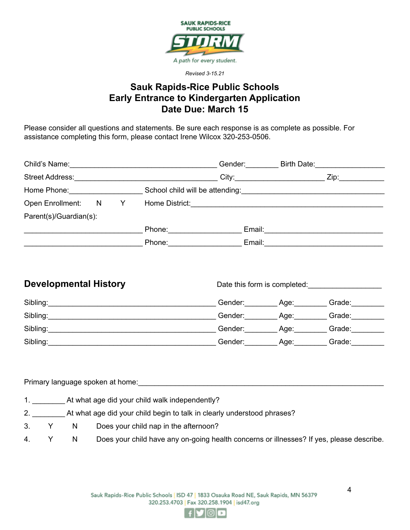

### **Sauk Rapids-Rice Public Schools Early Entrance to Kindergarten Application Date Due: March 15**

Please consider all questions and statements. Be sure each response is as complete as possible. For assistance completing this form, please contact Irene Wilcox 320-253-0506.

| Child's Name: <u>Child's Name:</u> 2004                                                                                                                                                                                                                                                              |   |                  |                                                                                       | Gender: |                                                                                                                | Birth Date: <b>Example 20</b>                                                                                                                                                                                                  |
|------------------------------------------------------------------------------------------------------------------------------------------------------------------------------------------------------------------------------------------------------------------------------------------------------|---|------------------|---------------------------------------------------------------------------------------|---------|----------------------------------------------------------------------------------------------------------------|--------------------------------------------------------------------------------------------------------------------------------------------------------------------------------------------------------------------------------|
|                                                                                                                                                                                                                                                                                                      |   |                  | Street Address: No. 1996. March 1997. The March 1997. The March 1997. The March 1997. |         | City: 2008 2014 2015 2020 2021 2022 2023 2024 2022 2022 2023 2024 2022 2023 2024 2022 2023 2024 2025 2026 2027 | Zip: the contract of the contract of the contract of the contract of the contract of the contract of the contract of the contract of the contract of the contract of the contract of the contract of the contract of the contr |
| Home Phone: The Contract of the Contract of the Contract of the Contract of the Contract of the Contract of the Contract of the Contract of the Contract of the Contract of the Contract of the Contract of the Contract of th<br>School child will be attending:<br>School child will be attending: |   |                  |                                                                                       |         |                                                                                                                |                                                                                                                                                                                                                                |
| <b>Open Enrollment:</b>                                                                                                                                                                                                                                                                              | N | <b>Example Y</b> |                                                                                       |         |                                                                                                                |                                                                                                                                                                                                                                |
| Parent(s)/Guardian(s):                                                                                                                                                                                                                                                                               |   |                  |                                                                                       |         |                                                                                                                |                                                                                                                                                                                                                                |
|                                                                                                                                                                                                                                                                                                      |   |                  | Phone: _____________                                                                  |         | Email: <b>Example</b>                                                                                          |                                                                                                                                                                                                                                |
|                                                                                                                                                                                                                                                                                                      |   |                  | Phone: <b>All Phone</b>                                                               | Email:  |                                                                                                                |                                                                                                                                                                                                                                |
|                                                                                                                                                                                                                                                                                                      |   |                  |                                                                                       |         |                                                                                                                |                                                                                                                                                                                                                                |

| <b>Developmental History</b> |         | Date this form is completed: |        |  |
|------------------------------|---------|------------------------------|--------|--|
| Sibling:                     | Gender: | Age:                         | Grade: |  |
| Sibling:                     | Gender: | Age:                         | Grade: |  |
| Sibling:                     | Gender: | Age:                         | Grade: |  |
| Sibling:                     | Gender: | Age:                         | Grade: |  |

Primary language spoken at home:

- 1. \_\_\_\_\_\_\_\_ At what age did your child walk independently?
- 2. \_\_\_\_\_\_\_\_ At what age did your child begin to talk in clearly understood phrases?
- 3. Y N Does your child nap in the afternoon?
- 4. Y N Does your child have any on-going health concerns or illnesses? If yes, please describe.

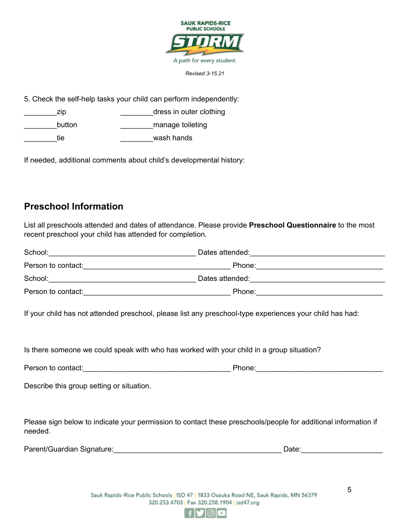

5. Check the self-help tasks your child can perform independently:

zip zip and the set of the set of the set of the set of the set of the set of the set of the set of the set of the set of the set of the set of the set of the set of the set of the set of the set of the set of the set of t button **button button button button button button button button button button button button button button button button button button button button button button button button** tie **Europe and Science and Science and Science and Science and Science and Science and Science and Science and S** 

If needed, additional comments about child's developmental history:

## **Preschool Information**

List all preschools attended and dates of attendance. Please provide **Preschool Questionnaire** to the most recent preschool your child has attended for completion.

| School:            | Dates attended: |  |
|--------------------|-----------------|--|
| Person to contact: | Phone:          |  |
| School:            | Dates attended: |  |
| Person to contact: | Phone:          |  |

If your child has not attended preschool, please list any preschool-type experiences your child has had:

Is there someone we could speak with who has worked with your child in a group situation?

| Person to contact: | 'hone: |
|--------------------|--------|
|--------------------|--------|

Describe this group setting or situation.

Please sign below to indicate your permission to contact these preschools/people for additional information if needed.

| Parent/Guardian Signature: | Date |
|----------------------------|------|
|----------------------------|------|

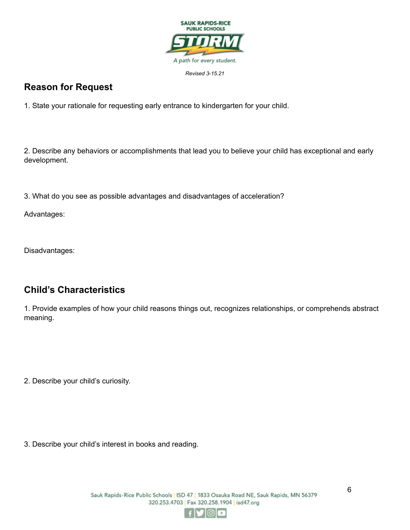

## **Reason for Request**

1. State your rationale for requesting early entrance to kindergarten for your child.

2. Describe any behaviors or accomplishments that lead you to believe your child has exceptional and early development.

3. What do you see as possible advantages and disadvantages of acceleration?

Advantages:

Disadvantages:

## **Child's Characteristics**

1. Provide examples of how your child reasons things out, recognizes relationships, or comprehends abstract meaning.

2. Describe your child's curiosity.

3. Describe your child's interest in books and reading.

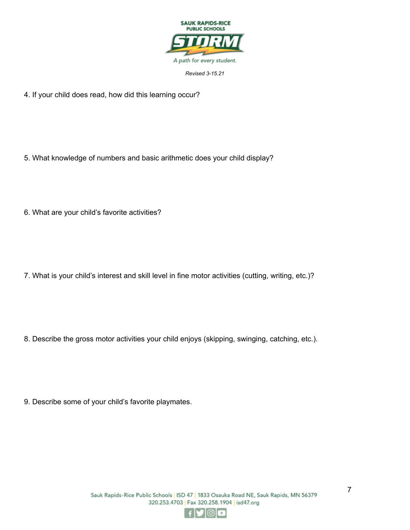

4. If your child does read, how did this learning occur?

5. What knowledge of numbers and basic arithmetic does your child display?

6. What are your child's favorite activities?

7. What is your child's interest and skill level in fine motor activities (cutting, writing, etc.)?

8. Describe the gross motor activities your child enjoys (skipping, swinging, catching, etc.).

9. Describe some of your child's favorite playmates.

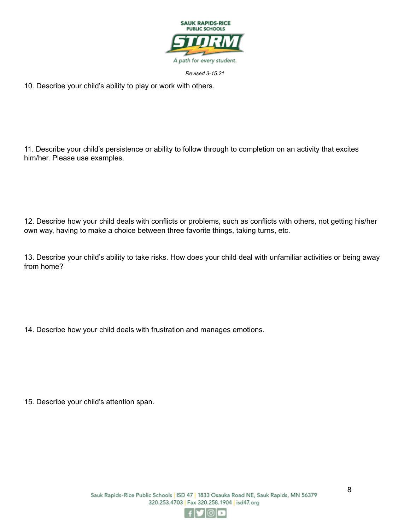

10. Describe your child's ability to play or work with others.

11. Describe your child's persistence or ability to follow through to completion on an activity that excites him/her. Please use examples.

12. Describe how your child deals with conflicts or problems, such as conflicts with others, not getting his/her own way, having to make a choice between three favorite things, taking turns, etc.

13. Describe your child's ability to take risks. How does your child deal with unfamiliar activities or being away from home?

14. Describe how your child deals with frustration and manages emotions.

15. Describe your child's attention span.

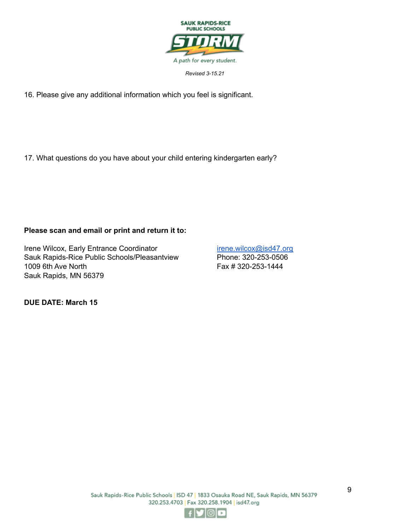

16. Please give any additional information which you feel is significant.

17. What questions do you have about your child entering kindergarten early?

#### **Please scan and email or print and return it to:**

Irene Wilcox, Early Entrance Coordinator in the internet wilcox@isd47.org Sauk Rapids-Rice Public Schools/Pleasantview Phone: 320-253-0506 1009 6th Ave North Fax # 320-253-1444 Sauk Rapids, MN 56379

**DUE DATE: March 15**

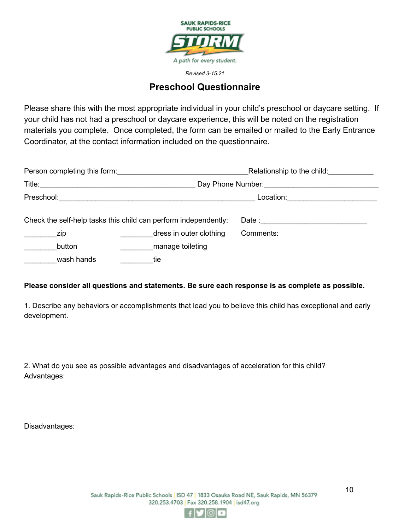

### **Preschool Questionnaire**

Please share this with the most appropriate individual in your child's preschool or daycare setting. If your child has not had a preschool or daycare experience, this will be noted on the registration materials you complete. Once completed, the form can be emailed or mailed to the Early Entrance Coordinator, at the contact information included on the questionnaire.

| Person completing this form: |                                                                 | Relationship to the child:                |  |  |
|------------------------------|-----------------------------------------------------------------|-------------------------------------------|--|--|
| Title:                       | Day Phone Number:                                               |                                           |  |  |
| Preschool:                   |                                                                 | Location:                                 |  |  |
|                              | Check the self-help tasks this child can perform independently: | Date : <u>___________________________</u> |  |  |
| zip                          | dress in outer clothing                                         | Comments:                                 |  |  |
| button                       | manage toileting                                                |                                           |  |  |
| wash hands                   | tie                                                             |                                           |  |  |

#### **Please consider all questions and statements. Be sure each response is as complete as possible.**

1. Describe any behaviors or accomplishments that lead you to believe this child has exceptional and early development.

2. What do you see as possible advantages and disadvantages of acceleration for this child? Advantages:

Disadvantages:

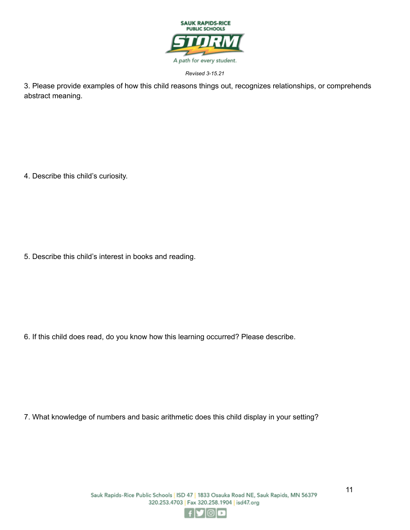

3. Please provide examples of how this child reasons things out, recognizes relationships, or comprehends abstract meaning.

4. Describe this child's curiosity.

5. Describe this child's interest in books and reading.

6. If this child does read, do you know how this learning occurred? Please describe.

7. What knowledge of numbers and basic arithmetic does this child display in your setting?

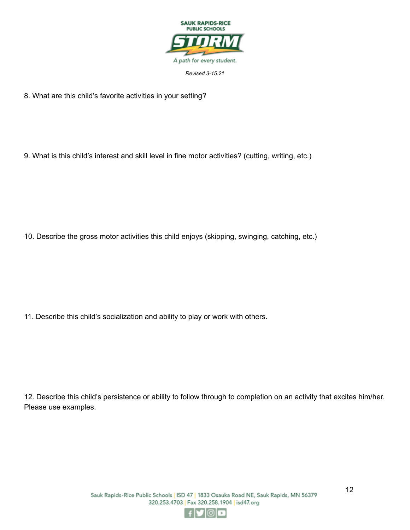

8. What are this child's favorite activities in your setting?

9. What is this child's interest and skill level in fine motor activities? (cutting, writing, etc.)

10. Describe the gross motor activities this child enjoys (skipping, swinging, catching, etc.)

11. Describe this child's socialization and ability to play or work with others.

12. Describe this child's persistence or ability to follow through to completion on an activity that excites him/her. Please use examples.